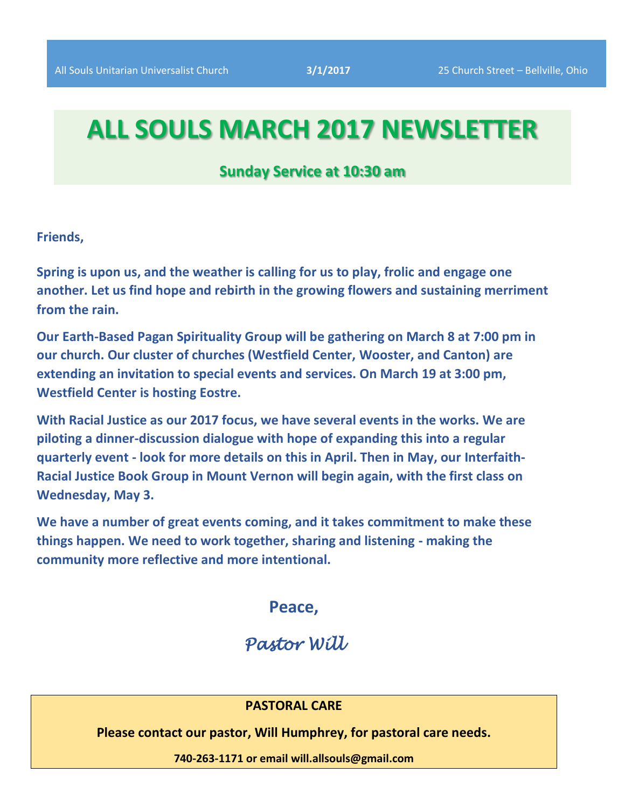# **ALL SOULS MARCH 2017 NEWSLETTER**

# **Sunday Service at 10:30 am**

**Friends,**

**Spring is upon us, and the weather is calling for us to play, frolic and engage one another. Let us find hope and rebirth in the growing flowers and sustaining merriment from the rain.**

**Our Earth-Based Pagan Spirituality Group will be gathering on March 8 at 7:00 pm in our church. Our cluster of churches (Westfield Center, Wooster, and Canton) are extending an invitation to special events and services. On March 19 at 3:00 pm, Westfield Center is hosting Eostre.**

**With Racial Justice as our 2017 focus, we have several events in the works. We are piloting a dinner-discussion dialogue with hope of expanding this into a regular quarterly event - look for more details on this in April. Then in May, our Interfaith-Racial Justice Book Group in Mount Vernon will begin again, with the first class on Wednesday, May 3.**

**We have a number of great events coming, and it takes commitment to make these things happen. We need to work together, sharing and listening - making the community more reflective and more intentional.**

**Peace,**

# *Pastor Will*

## **PASTORAL CARE**

**Please contact our pastor, Will Humphrey, for pastoral care needs.**

**740-263-1171 or email will.allsouls@gmail.com**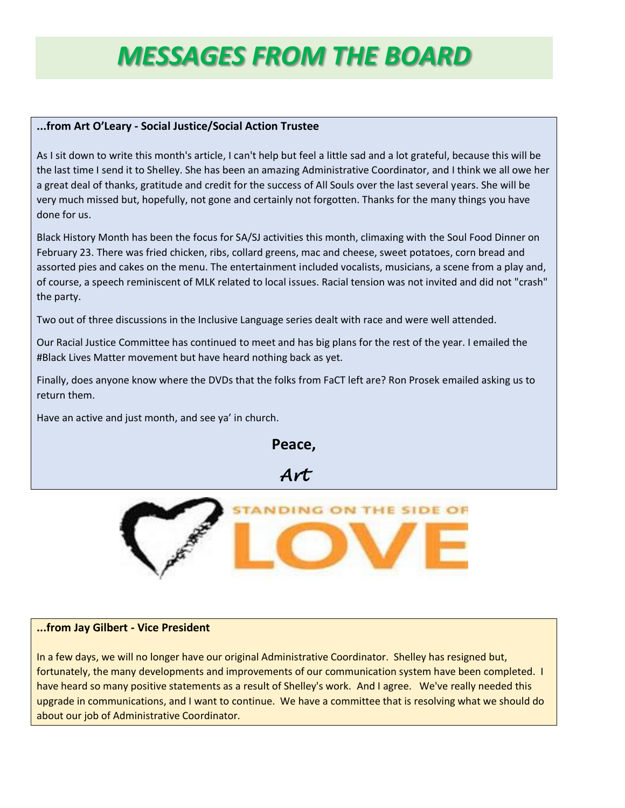# *MESSAGES FROM THE BOARD*

#### **...from Art O'Leary - Social Justice/Social Action Trustee**

As I sit down to write this month's article, I can't help but feel a little sad and a lot grateful, because this will be the last time I send it to Shelley. She has been an amazing Administrative Coordinator, and I think we all owe her a great deal of thanks, gratitude and credit for the success of All Souls over the last several years. She will be very much missed but, hopefully, not gone and certainly not forgotten. Thanks for the many things you have done for us.

Black History Month has been the focus for SA/SJ activities this month, climaxing with the Soul Food Dinner on February 23. There was fried chicken, ribs, collard greens, mac and cheese, sweet potatoes, corn bread and assorted pies and cakes on the menu. The entertainment included vocalists, musicians, a scene from a play and, of course, a speech reminiscent of MLK related to local issues. Racial tension was not invited and did not "crash" the party.

Two out of three discussions in the Inclusive Language series dealt with race and were well attended.

Our Racial Justice Committee has continued to meet and has big plans for the rest of the year. I emailed the #Black Lives Matter movement but have heard nothing back as yet.

Finally, does anyone know where the DVDs that the folks from FaCT left are? Ron Prosek emailed asking us to return them.

Have an active and just month, and see ya' in church.

**Peace,**

*Art* 



#### **...from Jay Gilbert - Vice President**

In a few days, we will no longer have our original Administrative Coordinator. Shelley has resigned but, fortunately, the many developments and improvements of our communication system have been completed. I have heard so many positive statements as a result of Shelley's work. And I agree. We've really needed this upgrade in communications, and I want to continue. We have a committee that is resolving what we should do about our job of Administrative Coordinator.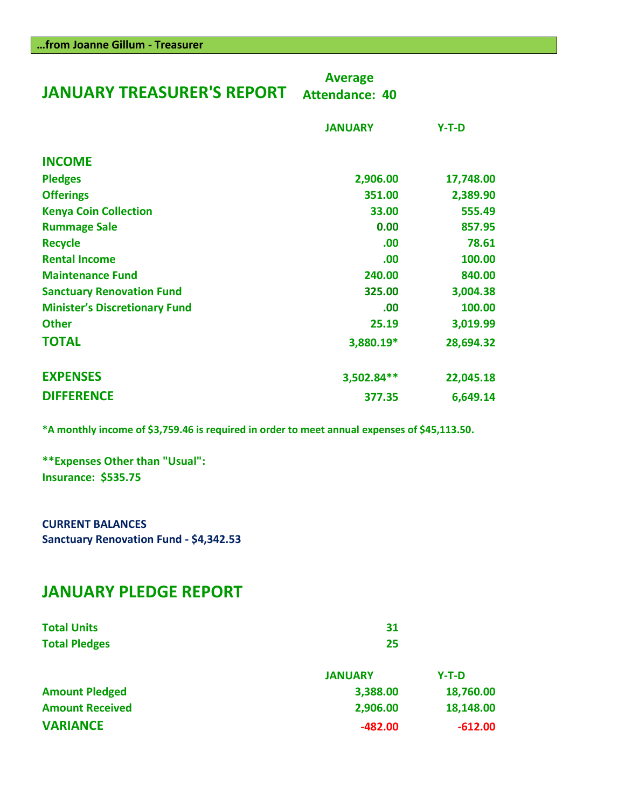| <b>JANUARY TREASURER'S REPORT</b>    | <b>Average</b><br><b>Attendance: 40</b> |           |
|--------------------------------------|-----------------------------------------|-----------|
|                                      | <b>JANUARY</b>                          | $Y-T-D$   |
| <b>INCOME</b>                        |                                         |           |
| <b>Pledges</b>                       | 2,906.00                                | 17,748.00 |
| <b>Offerings</b>                     | 351.00                                  | 2,389.90  |
| <b>Kenya Coin Collection</b>         | 33.00                                   | 555.49    |
| <b>Rummage Sale</b>                  | 0.00                                    | 857.95    |
| <b>Recycle</b>                       | .00                                     | 78.61     |
| <b>Rental Income</b>                 | .00                                     | 100.00    |
| <b>Maintenance Fund</b>              | 240.00                                  | 840.00    |
| <b>Sanctuary Renovation Fund</b>     | 325.00                                  | 3,004.38  |
| <b>Minister's Discretionary Fund</b> | .00                                     | 100.00    |
| <b>Other</b>                         | 25.19                                   | 3,019.99  |
| <b>TOTAL</b>                         | 3,880.19*                               | 28,694.32 |
| <b>EXPENSES</b>                      | 3,502.84**                              | 22,045.18 |
| <b>DIFFERENCE</b>                    | 377.35                                  | 6,649.14  |

**\*A monthly income of \$3,759.46 is required in order to meet annual expenses of \$45,113.50.**

**\*\*Expenses Other than "Usual": Insurance: \$535.75**

**CURRENT BALANCES Sanctuary Renovation Fund - \$4,342.53**

# **JANUARY PLEDGE REPORT**

| <b>Total Units</b>     | 31             |           |  |
|------------------------|----------------|-----------|--|
| <b>Total Pledges</b>   | 25             |           |  |
|                        | <b>JANUARY</b> | $Y-T-D$   |  |
| <b>Amount Pledged</b>  | 3,388.00       | 18,760.00 |  |
| <b>Amount Received</b> | 2,906.00       | 18,148.00 |  |
| <b>VARIANCE</b>        | $-482.00$      | $-612.00$ |  |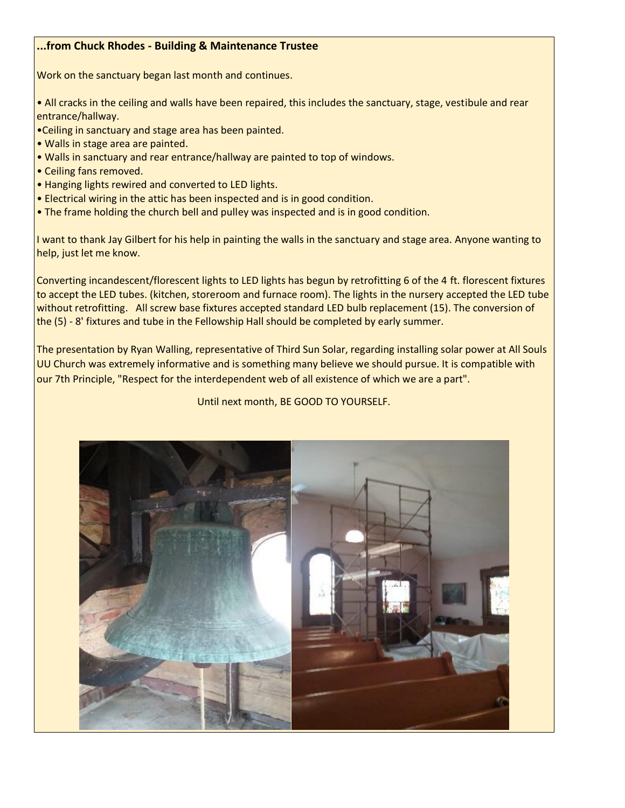### **...from Chuck Rhodes - Building & Maintenance Trustee**

Work on the sanctuary began last month and continues.

• All cracks in the ceiling and walls have been repaired, this includes the sanctuary, stage, vestibule and rear entrance/hallway.

- •Ceiling in sanctuary and stage area has been painted.
- Walls in stage area are painted.
- Walls in sanctuary and rear entrance/hallway are painted to top of windows.
- Ceiling fans removed.
- Hanging lights rewired and converted to LED lights.
- Electrical wiring in the attic has been inspected and is in good condition.
- The frame holding the church bell and pulley was inspected and is in good condition.

I want to thank Jay Gilbert for his help in painting the walls in the sanctuary and stage area. Anyone wanting to help, just let me know.

Converting incandescent/florescent lights to LED lights has begun by retrofitting 6 of the 4 ft. florescent fixtures to accept the LED tubes. (kitchen, storeroom and furnace room). The lights in the nursery accepted the LED tube without retrofitting. All screw base fixtures accepted standard LED bulb replacement (15). The conversion of the (5) - 8' fixtures and tube in the Fellowship Hall should be completed by early summer.

The presentation by Ryan Walling, representative of Third Sun Solar, regarding installing solar power at All Souls UU Church was extremely informative and is something many believe we should pursue. It is compatible with our 7th Principle, "Respect for the interdependent web of all existence of which we are a part".

#### Until next month, BE GOOD TO YOURSELF.

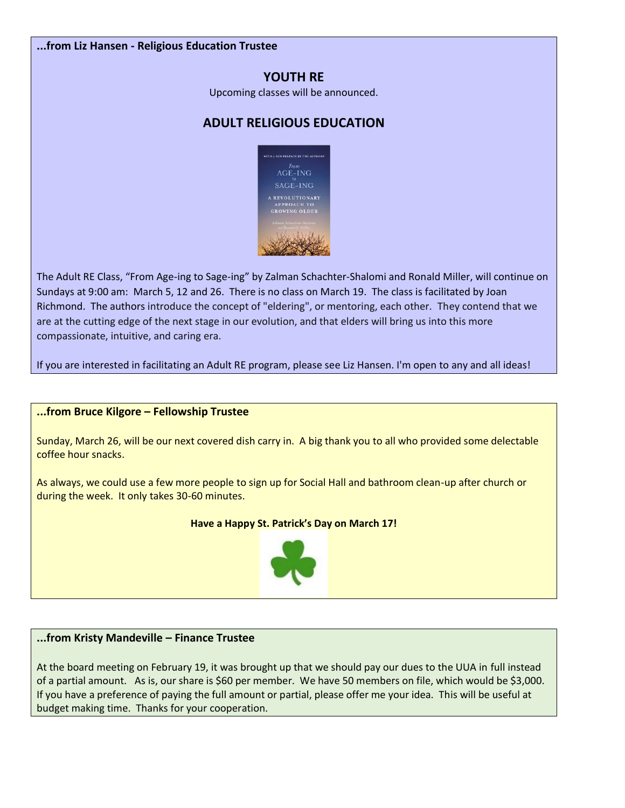#### **...from Liz Hansen - Religious Education Trustee**

# **YOUTH RE**

Upcoming classes will be announced.

# **ADULT RELIGIOUS EDUCATION**



The Adult RE Class, "From Age-ing to Sage-ing" by Zalman Schachter-Shalomi and Ronald Miller, will continue on Sundays at 9:00 am: March 5, 12 and 26. There is no class on March 19. The class is facilitated by Joan Richmond. The authors introduce the concept of "eldering", or mentoring, each other. They contend that we are at the cutting edge of the next stage in our evolution, and that elders will bring us into this more compassionate, intuitive, and caring era.

If you are interested in facilitating an Adult RE program, please see Liz Hansen. I'm open to any and all ideas!

#### **...from Bruce Kilgore – Fellowship Trustee**

Sunday, March 26, will be our next covered dish carry in. A big thank you to all who provided some delectable coffee hour snacks.

As always, we could use a few more people to sign up for Social Hall and bathroom clean-up after church or during the week. It only takes 30-60 minutes.

#### **Have a Happy St. Patrick's Day on March 17!**



#### **...from Kristy Mandeville – Finance Trustee**

At the board meeting on February 19, it was brought up that we should pay our dues to the UUA in full instead of a partial amount. As is, our share is \$60 per member. We have 50 members on file, which would be \$3,000. If you have a preference of paying the full amount or partial, please offer me your idea. This will be useful at budget making time. Thanks for your cooperation.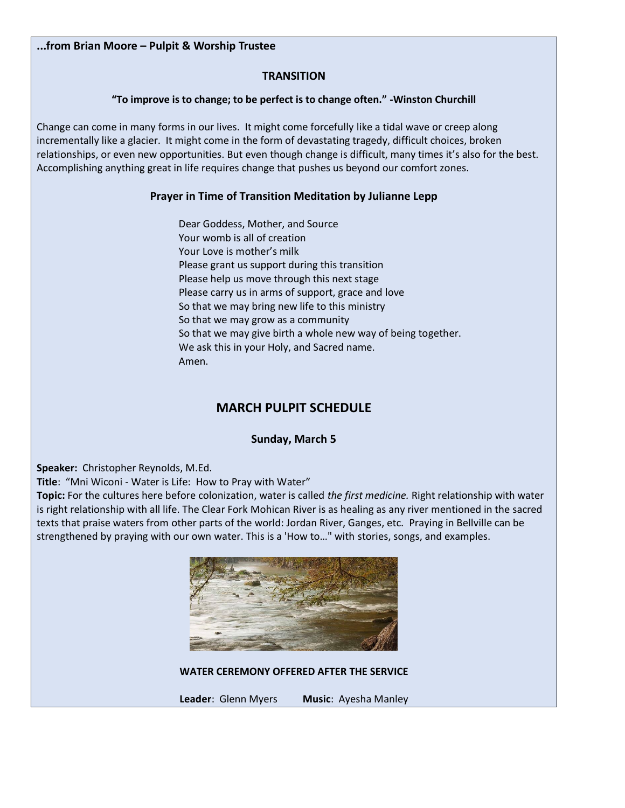#### **...from Brian Moore – Pulpit & Worship Trustee**

#### **TRANSITION**

#### **"To improve is to change; to be perfect is to change often." -Winston Churchill**

Change can come in many forms in our lives. It might come forcefully like a tidal wave or creep along incrementally like a glacier. It might come in the form of devastating tragedy, difficult choices, broken relationships, or even new opportunities. But even though change is difficult, many times it's also for the best. Accomplishing anything great in life requires change that pushes us beyond our comfort zones.

#### **Prayer in Time of Transition Meditation by Julianne Lepp**

 Dear Goddess, Mother, and Source Your womb is all of creation Your Love is mother's milk Please grant us support during this transition Please help us move through this next stage Please carry us in arms of support, grace and love So that we may bring new life to this ministry So that we may grow as a community So that we may give birth a whole new way of being together. We ask this in your Holy, and Sacred name. Amen.

# **MARCH PULPIT SCHEDULE**

**Sunday, March 5**

**Speaker:** Christopher Reynolds, M.Ed.

**Title**: "Mni Wiconi - Water is Life: How to Pray with Water"

**Topic:** For the cultures here before colonization, water is called *the first medicine.* Right relationship with water is right relationship with all life. The Clear Fork Mohican River is as healing as any river mentioned in the sacred texts that praise waters from other parts of the world: Jordan River, Ganges, etc. Praying in Bellville can be strengthened by praying with our own water. This is a 'How to…" with stories, songs, and examples.



**WATER CEREMONY OFFERED AFTER THE SERVICE**

**Leader**: Glenn Myers **Music**: Ayesha Manley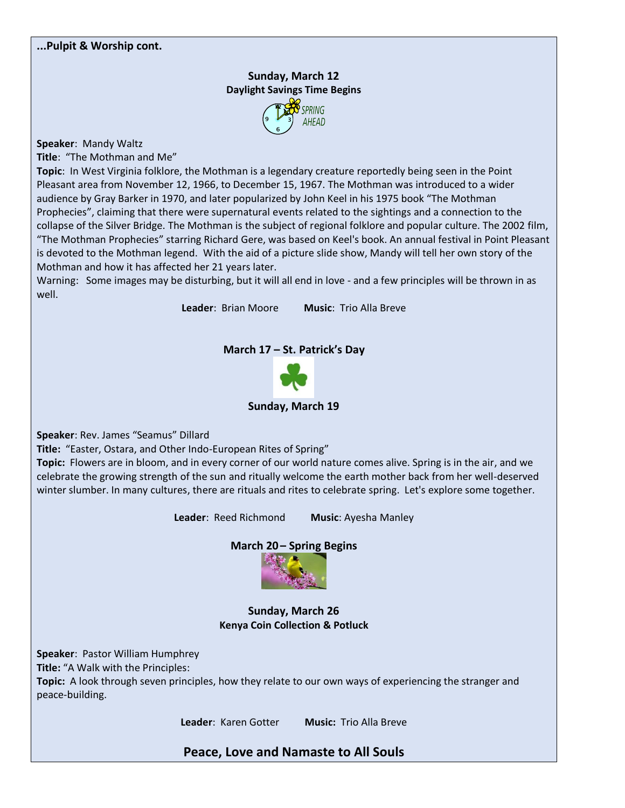## **Sunday, March 12 Daylight Savings Time Begins**



**Speaker**: Mandy Waltz

**Title**: "The Mothman and Me"

**Topic**: In West Virginia folklore, the Mothman is a legendary creature reportedly being seen in the Point Pleasant area from November 12, 1966, to December 15, 1967. The Mothman was introduced to a wider audience by Gray Barker in 1970, and later popularized by John Keel in his 1975 book "The Mothman Prophecies", claiming that there were supernatural events related to the sightings and a connection to the collapse of the Silver Bridge. The Mothman is the subject of regional folklore and popular culture. The 2002 film, "The Mothman Prophecies" starring Richard Gere, was based on Keel's book. An annual festival in Point Pleasant is devoted to the Mothman legend. With the aid of a picture slide show, Mandy will tell her own story of the Mothman and how it has affected her 21 years later.

Warning: Some images may be disturbing, but it will all end in love - and a few principles will be thrown in as well.

**Leader**: Brian Moore **Music**: Trio Alla Breve

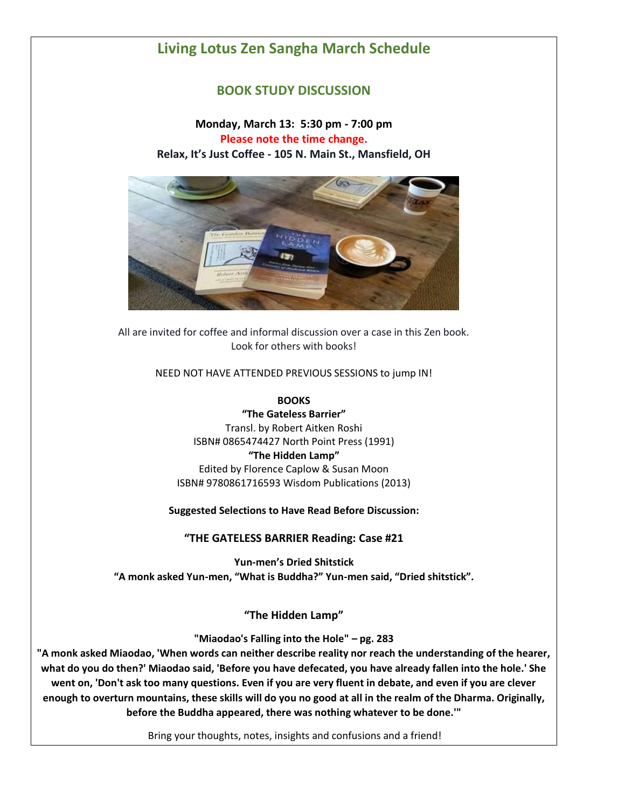# **Living Lotus Zen Sangha March Schedule**

## **BOOK STUDY DISCUSSION**

## **Monday, March 13: 5:30 pm - 7:00 pm Please note the time change. Relax, It's Just Coffee - 105 N. Main St., Mansfield, OH**



All are invited for coffee and informal discussion over a case in this Zen book. Look for others with books!

NEED NOT HAVE ATTENDED PREVIOUS SESSIONS to jump IN!

**BOOKS**

**"The Gateless Barrier"** Transl. by Robert Aitken Roshi ISBN# 0865474427 North Point Press (1991) **"The Hidden Lamp"** Edited by Florence Caplow & Susan Moon ISBN# 9780861716593 Wisdom Publications (2013)

**Suggested Selections to Have Read Before Discussion:**

**"THE GATELESS BARRIER Reading: Case #21**

**Yun-men's Dried Shitstick "A monk asked Yun-men, "What is Buddha?" Yun-men said, "Dried shitstick".**

**"The Hidden Lamp"**

**"Miaodao's Falling into the Hole" – pg. 283**

**"A monk asked Miaodao, 'When words can neither describe reality nor reach the understanding of the hearer, what do you do then?' Miaodao said, 'Before you have defecated, you have already fallen into the hole.' She went on, 'Don't ask too many questions. Even if you are very fluent in debate, and even if you are clever enough to overturn mountains, these skills will do you no good at all in the realm of the Dharma. Originally, before the Buddha appeared, there was nothing whatever to be done.'"**

Bring your thoughts, notes, insights and confusions and a friend!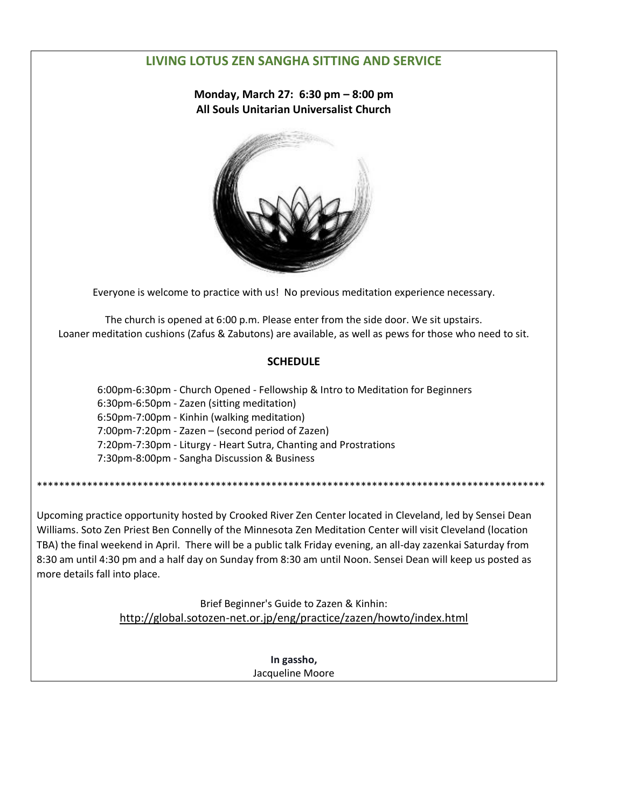# **LIVING LOTUS ZEN SANGHA SITTING AND SERVICE**

**Monday, March 27: 6:30 pm – 8:00 pm All Souls Unitarian Universalist Church**



Everyone is welcome to practice with us! No previous meditation experience necessary.

The church is opened at 6:00 p.m. Please enter from the side door. We sit upstairs. Loaner meditation cushions (Zafus & Zabutons) are available, as well as pews for those who need to sit.

## **SCHEDULE**

 6:00pm-6:30pm - Church Opened - Fellowship & Intro to Meditation for Beginners 6:30pm-6:50pm - Zazen (sitting meditation) 6:50pm-7:00pm - Kinhin (walking meditation) 7:00pm-7:20pm - Zazen – (second period of Zazen) 7:20pm-7:30pm - Liturgy - Heart Sutra, Chanting and Prostrations 7:30pm-8:00pm - Sangha Discussion & Business

\*\*\*\*\*\*\*\*\*\*\*\*\*\*\*\*\*\*\*\*\*\*\*\*\*\*\*\*\*\*\*\*\*\*\*\*\*\*\*\*\*\*\*\*\*\*\*\*\*\*\*\*\*\*\*\*\*\*\*\*\*\*\*\*\*\*\*\*\*\*\*\*\*\*\*\*\*\*\*\*\*\*\*\*\*\*\*\*\*\*\*

Upcoming practice opportunity hosted by Crooked River Zen Center located in Cleveland, led by Sensei Dean Williams. Soto Zen Priest Ben Connelly of the Minnesota Zen Meditation Center will visit Cleveland (location TBA) the final weekend in April. There will be a public talk Friday evening, an all-day zazenkai Saturday from 8:30 am until 4:30 pm and a half day on Sunday from 8:30 am until Noon. Sensei Dean will keep us posted as more details fall into place.

> Brief Beginner's Guide to Zazen & Kinhin: [http://global.sotozen-net.or.jp/eng/practice/zazen/howto/index.html](http://l.facebook.com/?u=http%3A%2F%2Fglobal.sotozen-net.or.jp%2Feng%2Fpractice%2Fzazen%2Fhowto%2Findex.html&e=ATOXqawJM1--9N9v8oPw8oyhjopfFmZVyt2JFfRZL-qFiiYq8uBExuSIEUOSpg)

> > **In gassho,** Jacqueline Moore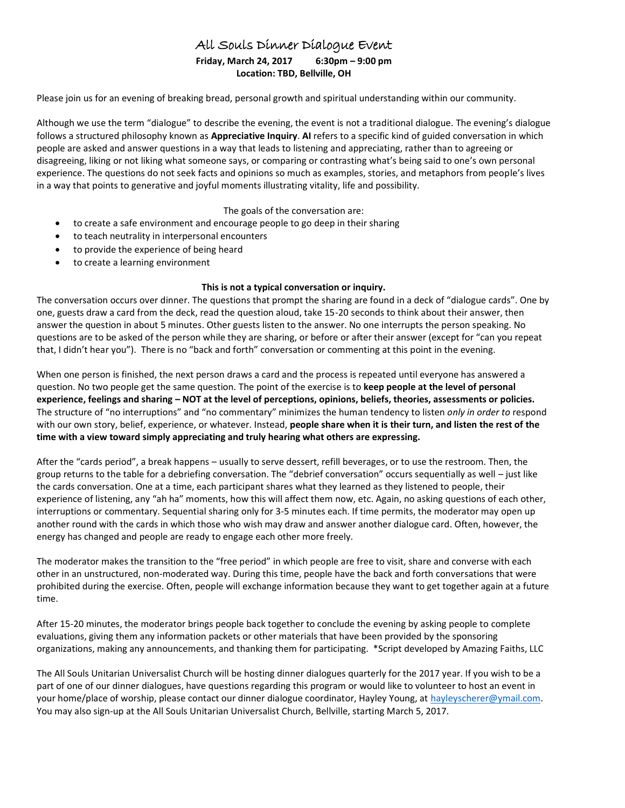# All Souls Dinner Dialogue Event

#### **Friday, March 24, 2017 6:30pm – 9:00 pm Location: TBD, Bellville, OH**

Please join us for an evening of breaking bread, personal growth and spiritual understanding within our community.

Although we use the term "dialogue" to describe the evening, the event is not a traditional dialogue. The evening's dialogue follows a structured philosophy known as **Appreciative Inquiry**. **AI** refers to a specific kind of guided conversation in which people are asked and answer questions in a way that leads to listening and appreciating, rather than to agreeing or disagreeing, liking or not liking what someone says, or comparing or contrasting what's being said to one's own personal experience. The questions do not seek facts and opinions so much as examples, stories, and metaphors from people's lives in a way that points to generative and joyful moments illustrating vitality, life and possibility.

The goals of the conversation are:

- to create a safe environment and encourage people to go deep in their sharing
- to teach neutrality in interpersonal encounters
- to provide the experience of being heard
- to create a learning environment

#### **This is not a typical conversation or inquiry.**

The conversation occurs over dinner. The questions that prompt the sharing are found in a deck of "dialogue cards". One by one, guests draw a card from the deck, read the question aloud, take 15-20 seconds to think about their answer, then answer the question in about 5 minutes. Other guests listen to the answer. No one interrupts the person speaking. No questions are to be asked of the person while they are sharing, or before or after their answer (except for "can you repeat that, I didn't hear you"). There is no "back and forth" conversation or commenting at this point in the evening.

When one person is finished, the next person draws a card and the process is repeated until everyone has answered a question. No two people get the same question. The point of the exercise is to **keep people at the level of personal experience, feelings and sharing – NOT at the level of perceptions, opinions, beliefs, theories, assessments or policies.** The structure of "no interruptions" and "no commentary" minimizes the human tendency to listen *only in order to* respond with our own story, belief, experience, or whatever. Instead, **people share when it is their turn, and listen the rest of the time with a view toward simply appreciating and truly hearing what others are expressing.**

After the "cards period", a break happens – usually to serve dessert, refill beverages, or to use the restroom. Then, the group returns to the table for a debriefing conversation. The "debrief conversation" occurs sequentially as well – just like the cards conversation. One at a time, each participant shares what they learned as they listened to people, their experience of listening, any "ah ha" moments, how this will affect them now, etc. Again, no asking questions of each other, interruptions or commentary. Sequential sharing only for 3-5 minutes each. If time permits, the moderator may open up another round with the cards in which those who wish may draw and answer another dialogue card. Often, however, the energy has changed and people are ready to engage each other more freely.

The moderator makes the transition to the "free period" in which people are free to visit, share and converse with each other in an unstructured, non-moderated way. During this time, people have the back and forth conversations that were prohibited during the exercise. Often, people will exchange information because they want to get together again at a future time.

After 15-20 minutes, the moderator brings people back together to conclude the evening by asking people to complete evaluations, giving them any information packets or other materials that have been provided by the sponsoring organizations, making any announcements, and thanking them for participating. \*Script developed by Amazing Faiths, LLC

The All Souls Unitarian Universalist Church will be hosting dinner dialogues quarterly for the 2017 year. If you wish to be a part of one of our dinner dialogues, have questions regarding this program or would like to volunteer to host an event in your home/place of worship, please contact our dinner dialogue coordinator, Hayley Young, at [hayleyscherer@ymail.com.](mailto:hayleyscherer@ymail.com) You may also sign-up at the All Souls Unitarian Universalist Church, Bellville, starting March 5, 2017.